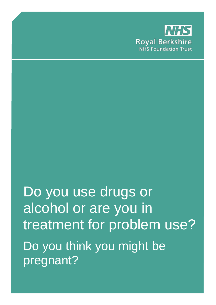

Do you use drugs or alcohol or are you in treatment for problem use? Do you think you might be pregnant?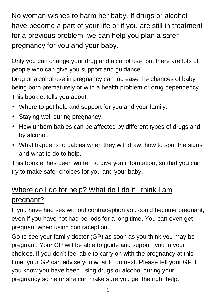No woman wishes to harm her baby. If drugs or alcohol have become a part of your life or if you are still in treatment for a previous problem, we can help you plan a safer pregnancy for you and your baby.

Only you can change your drug and alcohol use, but there are lots of people who can give you support and guidance.

Drug or alcohol use in pregnancy can increase the chances of baby being born prematurely or with a health problem or drug dependency. This booklet tells you about:

- Where to get help and support for you and your family.
- Staying well during pregnancy.
- How unborn babies can be affected by different types of drugs and by alcohol.
- What happens to babies when they withdraw, how to spot the signs and what to do to help.

This booklet has been written to give you information, so that you can try to make safer choices for you and your baby.

## Where do I go for help? What do I do if I think I am pregnant?

If you have had sex without contraception you could become pregnant, even if you have not had periods for a long time. You can even get pregnant when using contraception.

Go to see your family doctor (GP) as soon as you think you may be pregnant. Your GP will be able to guide and support you in your choices. If you don't feel able to carry on with the pregnancy at this time, your GP can advise you what to do next. Please tell your GP if you know you have been using drugs or alcohol during your pregnancy so he or she can make sure you get the right help.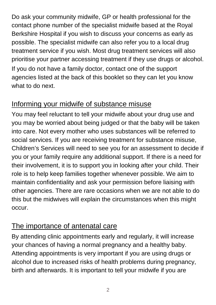Do ask your community midwife, GP or health professional for the contact phone number of the specialist midwife based at the Royal Berkshire Hospital if you wish to discuss your concerns as early as possible. The specialist midwife can also refer you to a local drug treatment service if you wish. Most drug treatment services will also prioritise your partner accessing treatment if they use drugs or alcohol. If you do not have a family doctor, contact one of the support agencies listed at the back of this booklet so they can let you know what to do next.

### Informing your midwife of substance misuse

You may feel reluctant to tell your midwife about your drug use and you may be worried about being judged or that the baby will be taken into care. Not every mother who uses substances will be referred to social services. If you are receiving treatment for substance misuse, Children's Services will need to see you for an assessment to decide if you or your family require any additional support. If there is a need for their involvement, it is to support you in looking after your child. Their role is to help keep families together whenever possible. We aim to maintain confidentiality and ask your permission before liaising with other agencies. There are rare occasions when we are not able to do this but the midwives will explain the circumstances when this might occur.

### The importance of antenatal care

By attending clinic appointments early and regularly, it will increase your chances of having a normal pregnancy and a healthy baby. Attending appointments is very important if you are using drugs or alcohol due to increased risks of health problems during pregnancy, birth and afterwards. It is important to tell your midwife if you are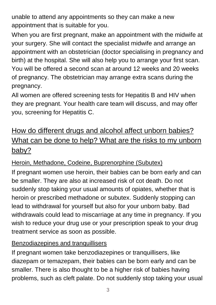unable to attend any appointments so they can make a new appointment that is suitable for you.

When you are first pregnant, make an appointment with the midwife at your surgery. She will contact the specialist midwife and arrange an appointment with an obstetrician (doctor specialising in pregnancy and birth) at the hospital. She will also help you to arrange your first scan. You will be offered a second scan at around 12 weeks and 20 weeks of pregnancy. The obstetrician may arrange extra scans during the pregnancy.

All women are offered screening tests for Hepatitis B and HIV when they are pregnant. Your health care team will discuss, and may offer you, screening for Hepatitis C.

# How do different drugs and alcohol affect unborn babies? What can be done to help? What are the risks to my unborn baby?

#### Heroin, Methadone, Codeine, Buprenorphine (Subutex)

If pregnant women use heroin, their babies can be born early and can be smaller. They are also at increased risk of cot death. Do not suddenly stop taking your usual amounts of opiates, whether that is heroin or prescribed methadone or subutex. Suddenly stopping can lead to withdrawal for yourself but also for your unborn baby. Bad withdrawals could lead to miscarriage at any time in pregnancy. If you wish to reduce your drug use or your prescription speak to your drug treatment service as soon as possible.

#### Benzodiazepines and tranquillisers

If pregnant women take benzodiazepines or tranquillisers, like diazepam or temazepam, their babies can be born early and can be smaller. There is also thought to be a higher risk of babies having problems, such as cleft palate. Do not suddenly stop taking your usual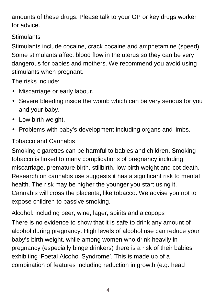amounts of these drugs. Please talk to your GP or key drugs worker for advice.

#### **Stimulants**

Stimulants include cocaine, crack cocaine and amphetamine (speed). Some stimulants affect blood flow in the uterus so they can be very dangerous for babies and mothers. We recommend you avoid using stimulants when pregnant.

The risks include:

- Miscarriage or early labour.  $\bullet$
- Severe bleeding inside the womb which can be very serious for you and your baby.
- . Low birth weight.
- Problems with baby's development including organs and limbs.  $\blacksquare$

#### Tobacco and Cannabis

Smoking cigarettes can be harmful to babies and children. Smoking tobacco is linked to many complications of pregnancy including miscarriage, premature birth, stillbirth, low birth weight and cot death. Research on cannabis use suggests it has a significant risk to mental health. The risk may be higher the younger you start using it. Cannabis will cross the placenta, like tobacco. We advise you not to expose children to passive smoking.

#### Alcohol: including beer, wine, lager, spirits and alcopops

There is no evidence to show that it is safe to drink any amount of alcohol during pregnancy. High levels of alcohol use can reduce your baby's birth weight, while among women who drink heavily in pregnancy (especially binge drinkers) there is a risk of their babies exhibiting 'Foetal Alcohol Syndrome'. This is made up of a combination of features including reduction in growth (e.g. head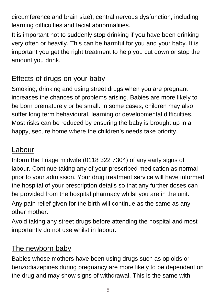circumference and brain size), central nervous dysfunction, including learning difficulties and facial abnormalities.

It is important not to suddenly stop drinking if you have been drinking very often or heavily. This can be harmful for you and your baby. It is important you get the right treatment to help you cut down or stop the amount you drink.

## Effects of drugs on your baby

Smoking, drinking and using street drugs when you are pregnant increases the chances of problems arising. Babies are more likely to be born prematurely or be small. In some cases, children may also suffer long term behavioural, learning or developmental difficulties. Most risks can be reduced by ensuring the baby is brought up in a happy, secure home where the children's needs take priority.

### Labour

Inform the Triage midwife (0118 322 7304) of any early signs of labour. Continue taking any of your prescribed medication as normal prior to your admission. Your drug treatment service will have informed the hospital of your prescription details so that any further doses can be provided from the hospital pharmacy whilst you are in the unit. Any pain relief given for the birth will continue as the same as any other mother.

Avoid taking any street drugs before attending the hospital and most importantly do not use whilst in labour.

## The newborn baby

Babies whose mothers have been using drugs such as opioids or benzodiazepines during pregnancy are more likely to be dependent on the drug and may show signs of withdrawal. This is the same with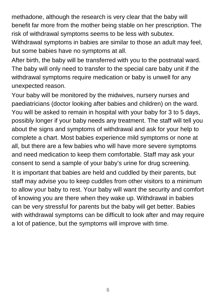methadone, although the research is very clear that the baby will benefit far more from the mother being stable on her prescription. The risk of withdrawal symptoms seems to be less with subutex. Withdrawal symptoms in babies are similar to those an adult may feel, but some babies have no symptoms at all.

After birth, the baby will be transferred with you to the postnatal ward. The baby will only need to transfer to the special care baby unit if the withdrawal symptoms require medication or baby is unwell for any unexpected reason.

Your baby will be monitored by the midwives, nursery nurses and paediatricians (doctor looking after babies and children) on the ward. You will be asked to remain in hospital with your baby for 3 to 5 days, possibly longer if your baby needs any treatment. The staff will tell you about the signs and symptoms of withdrawal and ask for your help to complete a chart. Most babies experience mild symptoms or none at all, but there are a few babies who will have more severe symptoms and need medication to keep them comfortable. Staff may ask your consent to send a sample of your baby's urine for drug screening. It is important that babies are held and cuddled by their parents, but staff may advise you to keep cuddles from other visitors to a minimum to allow your baby to rest. Your baby will want the security and comfort of knowing you are there when they wake up. Withdrawal in babies can be very stressful for parents but the baby will get better. Babies with withdrawal symptoms can be difficult to look after and may require a lot of patience, but the symptoms will improve with time.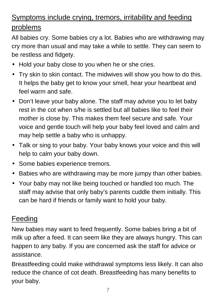# Symptoms include crying, tremors, irritability and feeding problems

All babies cry. Some babies cry a lot. Babies who are withdrawing may cry more than usual and may take a while to settle. They can seem to be restless and fidgety.

- Hold your baby close to you when he or she cries.
- Try skin to skin contact. The midwives will show you how to do this. It helps the baby get to know your smell, hear your heartbeat and feel warm and safe.
- Don't leave your baby alone. The staff may advise you to let baby rest in the cot when s/he is settled but all babies like to feel their mother is close by. This makes them feel secure and safe. Your voice and gentle touch will help your baby feel loved and calm and may help settle a baby who is unhappy.
- Talk or sing to your baby. Your baby knows your voice and this will help to calm your baby down.
- Some babies experience tremors.  $\mathbf{r}$
- Babies who are withdrawing may be more jumpy than other babies.
- Your baby may not like being touched or handled too much. The staff may advise that only baby's parents cuddle them initially. This can be hard if friends or family want to hold your baby.

## Feeding

New babies may want to feed frequently. Some babies bring a bit of milk up after a feed. It can seem like they are always hungry. This can happen to any baby. If you are concerned ask the staff for advice or assistance.

Breastfeeding could make withdrawal symptoms less likely. It can also reduce the chance of cot death. Breastfeeding has many benefits to your baby.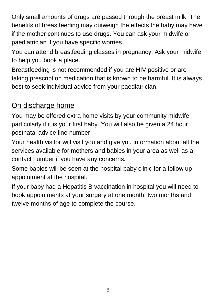Only small amounts of drugs are passed through the breast milk. The benefits of breastfeeding may outweigh the effects the baby may have if the mother continues to use drugs. You can ask your midwife or paediatrician if you have specific worries.

You can attend breastfeeding classes in pregnancy. Ask your midwife to help you book a place.

Breastfeeding is not recommended if you are HIV positive or are taking prescription medication that is known to be harmful. It is always best to seek individual advice from your paediatrician.

### On discharge home

You may be offered extra home visits by your community midwife, particularly if it is your first baby. You will also be given a 24 hour postnatal advice line number.

Your health visitor will visit you and give you information about all the services available for mothers and babies in your area as well as a contact number if you have any concerns.

Some babies will be seen at the hospital baby clinic for a follow up appointment at the hospital.

If your baby had a Hepatitis B vaccination in hospital you will need to book appointments at your surgery at one month, two months and twelve months of age to complete the course.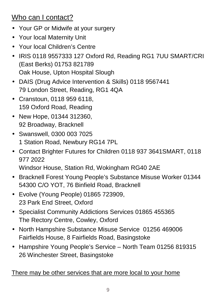## Who can I contact?

- Your GP or Midwife at your surgery
- Your local Maternity Unit
- Your local Children's Centre
- IRIS 0118 9557333 127 Oxford Rd, Reading RG1 7UU SMART/CRI (East Berks) 01753 821789 Oak House, Upton Hospital Slough
- DAIS (Drug Advice Intervention & Skills) 0118 9567441 79 London Street, Reading, RG1 4QA
- Cranstoun, 0118 959 6118, 159 Oxford Road, Reading
- New Hope, 01344 312360, 92 Broadway, Bracknell
- Swanswell, 0300 003 7025 1 Station Road, Newbury RG14 7PL
- Contact Brighter Futures for Children 0118 937 3641SMART, 0118 977 2022

Windsor House, Station Rd, Wokingham RG40 2AE

- Bracknell Forest Young People's Substance Misuse Worker 01344 54300 C/O YOT, 76 Binfield Road, Bracknell
- Evolve (Young People) 01865 723909, 23 Park End Street, Oxford
- Specialist Community Addictions Services 01865 455365 The Rectory Centre, Cowley, Oxford
- North Hampshire Substance Misuse Service 01256 469006  $\blacksquare$ Fairfields House, 8 Fairfields Road, Basingstoke
- Hampshire Young People's Service North Team 01256 819315 26 Winchester Street, Basingstoke

There may be other services that are more local to your home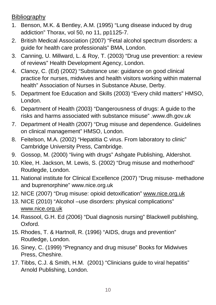Bibliography

- 1. Benson, M.K. & Bentley, A.M. (1995) "Lung disease induced by drug addiction" Thorax, vol 50, no 11, pp1125-7.
- 2. British Medical Association (2007) "Fetal alcohol spectrum disorders: a guide for health care professionals" BMA, London.
- 3. Canning, U. Millward, L. & Roy, T. (2003) "Drug use prevention: a review of reviews" Health Development Agency, London.
- 4. Clancy, C. (Ed) (2002) "Substance use: guidance on good clinical practice for nurses, midwives and health visitors working within maternal health" Association of Nurses in Substance Abuse, Derby.
- 5. Department foe Education and Skills (2003) "Every child matters" HMSO, London.
- 6. Department of Health (2003) "Dangerousness of drugs: A guide to the risks and harms associated with substance misuse" .www.dh.gov.uk
- 7. Department of Health (2007) "Drug misuse and dependence. Guidelines on clinical management" HMSO, London.
- 8. Feitelson, M.A. (2002) "Hepatitia C virus. From laboratory to clinic" Cambridge University Press, Cambridge.
- 9. Gossop, M. (2000) "living with drugs" Ashgate Publishing, Aldershot.
- 10. Klee, H. Jackson, M. Lewis, S. (2002) "Drug misuse and motherhood" Routlegde, London.
- 11. National institute for Clinical Excellence (2007) "Drug misuse- methadone and buprenorphine" www.nice.org.uk
- 12. NICE (2007) "Drug misuse: opioid detoxification" [www.nice.org.uk](http://www.nice.org.uk/)
- 13. NICE (2010) "Alcohol –use disorders: physical complications" [www.nice.org.uk](http://www.nice.org.uk/)
- 14. Rassool, G.H. Ed (2006) "Dual diagnosis nursing" Blackwell publishing, Oxford.
- 15. Rhodes, T. & Hartnoll, R. (1996) "AIDS, drugs and prevention" Routledge, London.
- 16. Siney, C. (1999) "Pregnancy and drug misuse" Books for Midwives Press, Cheshire.
- 17. Tibbs, C.J. & Smith, H.M. (2001) "Clinicians guide to viral hepatitis" Arnold Publishing, London.